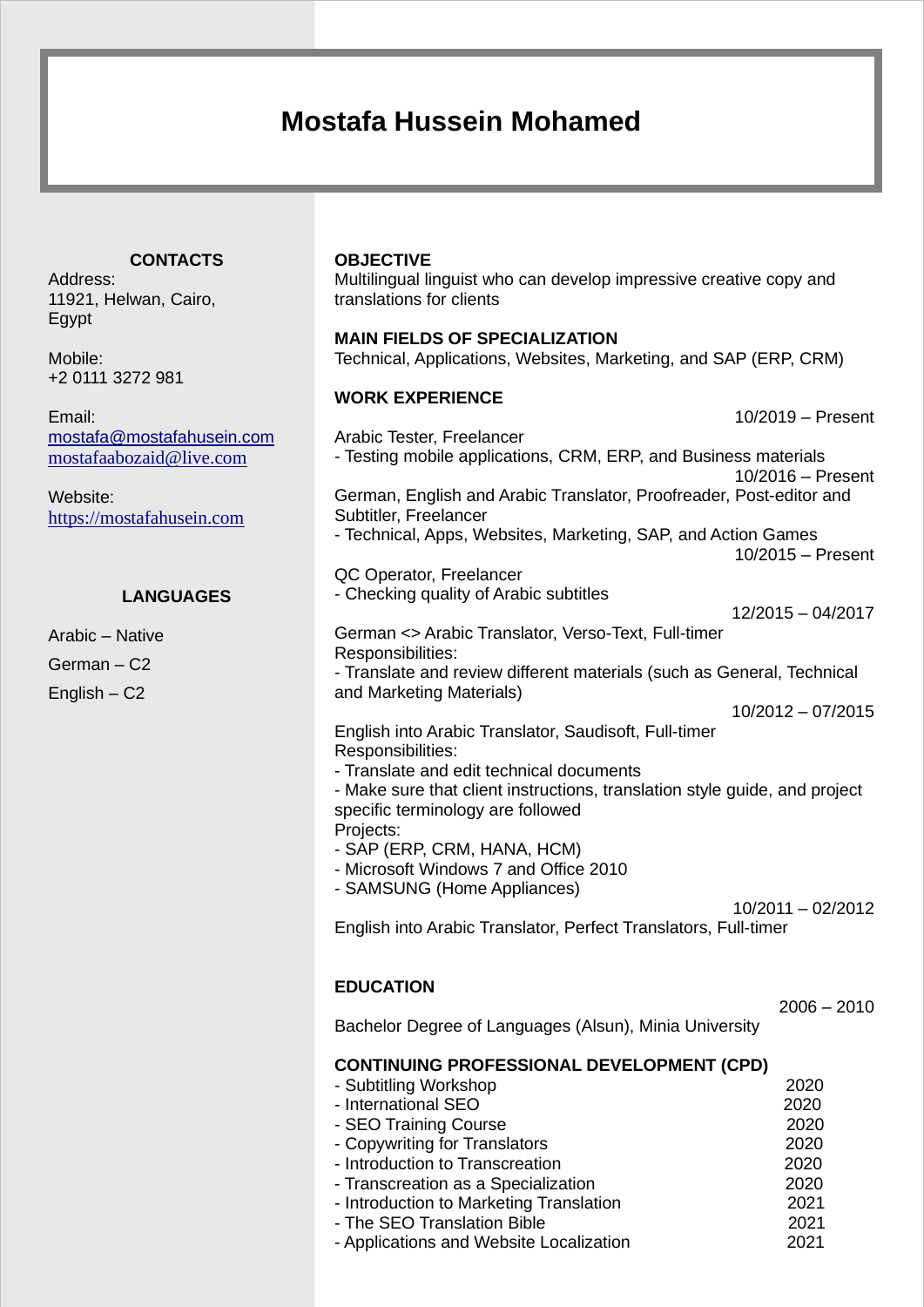# **Mostafa Hussein Mohamed**

#### **CONTACTS**

Address: 11921, Helwan, Cairo, Egypt

Mobile: +2 0111 3272 981

Email: [mostafa@mostafahusein.com](mailto:mostafa@mostafahusein.com) [mostafaabozaid@live.com](mailto:mostafaabozaid@live.com)

Website: https://mostafahusein.com

## **LANGUAGES**

Arabic – Native German – C2 English – C2

#### **OBJECTIVE**

Multilingual linguist who can develop impressive creative copy and translations for clients

#### **MAIN FIELDS OF SPECIALIZATION**

Technical, Applications, Websites, Marketing, and SAP (ERP, CRM)

#### **WORK EXPERIENCE**

10/2019 – Present Arabic Tester, Freelancer - Testing mobile applications, CRM, ERP, and Business materials 10/2016 – Present German, English and Arabic Translator, Proofreader, Post-editor and Subtitler, Freelancer - Technical, Apps, Websites, Marketing, SAP, and Action Games 10/2015 – Present QC Operator, Freelancer - Checking quality of Arabic subtitles 12/2015 – 04/2017 German <> Arabic Translator, Verso-Text, Full-timer Responsibilities: - Translate and review different materials (such as General, Technical and Marketing Materials) 10/2012 – 07/2015 English into Arabic Translator, Saudisoft, Full-timer Responsibilities: - Translate and edit technical documents - Make sure that client instructions, translation style guide, and project specific terminology are followed Projects: - SAP (ERP, CRM, HANA, HCM) - Microsoft Windows 7 and Office 2010 - SAMSUNG (Home Appliances) 10/2011 – 02/2012 English into Arabic Translator, Perfect Translators, Full-timer **EDUCATION**  $2006 - 2010$ Bachelor Degree of Languages (Alsun), Minia University **CONTINUING PROFESSIONAL DEVELOPMENT (CPD)** - Subtitling Workshop 2020 - International SEO 2020 - SEO Training Course 2020 - Copywriting for Translators 2020 - Introduction to Transcreation 2020 - Transcreation as a Specialization 2020

- Introduction to Marketing Translation 2021 - The SEO Translation Bible 2021
- Applications and Website Localization 2021